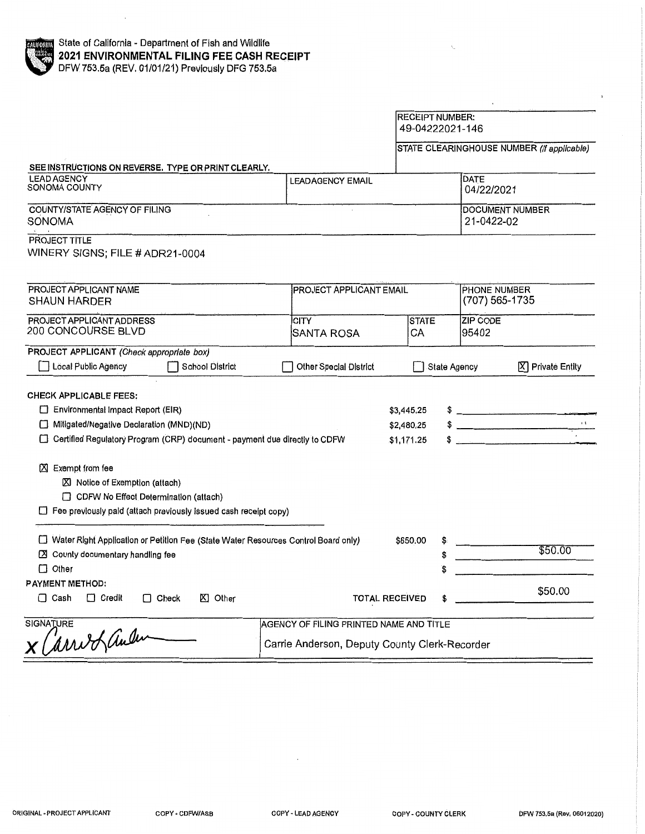|                                                                                                                                                                                                                                                                                                |                                               | <b>RECEIPT NUMBER:</b><br>49-04222021-146 |                                            |                                      |                                 |  |
|------------------------------------------------------------------------------------------------------------------------------------------------------------------------------------------------------------------------------------------------------------------------------------------------|-----------------------------------------------|-------------------------------------------|--------------------------------------------|--------------------------------------|---------------------------------|--|
|                                                                                                                                                                                                                                                                                                |                                               |                                           | STATE CLEARINGHOUSE NUMBER (If applicable) |                                      |                                 |  |
| SEE INSTRUCTIONS ON REVERSE. TYPE OR PRINT CLEARLY.                                                                                                                                                                                                                                            |                                               |                                           |                                            |                                      |                                 |  |
| <b>LEAD AGENCY</b><br>SONOMA COUNTY                                                                                                                                                                                                                                                            | <b>LEADAGENCY EMAIL</b>                       |                                           |                                            | DATE<br>04/22/2021                   |                                 |  |
| COUNTY/STATE AGENCY OF FILING<br>SONOMA                                                                                                                                                                                                                                                        |                                               |                                           |                                            | <b>DOCUMENT NUMBER</b><br>21-0422-02 |                                 |  |
| PROJECT TITLE<br>WINERY SIGNS; FILE # ADR21-0004                                                                                                                                                                                                                                               |                                               |                                           |                                            |                                      |                                 |  |
| PROJECT APPLICANT NAME<br><b>SHAUN HARDER</b>                                                                                                                                                                                                                                                  |                                               | <b>PROJECT APPLICANT EMAIL</b>            |                                            |                                      | PHONE NUMBER<br>(707) 565-1735  |  |
| PROJECT APPLICANT ADDRESS<br>200 CONCOURSE BLVD                                                                                                                                                                                                                                                | <b>CITY</b><br>SANTA ROSA                     | <b>STATE</b><br>CA                        |                                            | ZIP CODE<br>95402                    |                                 |  |
| PROJECT APPLICANT (Check appropriate box)<br>Local Public Agency<br><b>School District</b>                                                                                                                                                                                                     | <b>Other Special District</b>                 |                                           | State Agency                               |                                      | $[\overline{X}]$ Private Entity |  |
| <b>CHECK APPLICABLE FEES:</b><br>Environmental Impact Report (EIR)<br>Mitigated/Negative Declaration (MND)(ND)<br>□ Certified Regulatory Program (CRP) document - payment due directly to CDFW<br>区 Exempt from fee<br>■ Notice of Exemption (attach)<br>CDFW No Effect Determination (attach) |                                               |                                           |                                            | $\frac{1}{2}$                        | $\frac{1}{2}$                   |  |
| $\Box$ Fee previously paid (attach previously issued cash receipt copy)                                                                                                                                                                                                                        |                                               |                                           |                                            |                                      |                                 |  |
| □ Water Right Application or Petition Fee (State Water Resources Control Board only)<br>■ County documentary handling fee<br>$\Box$ Other                                                                                                                                                      |                                               |                                           |                                            |                                      | \$50.00                         |  |
| <b>PAYMENT METHOD:</b><br>$\Box$ Cash<br>KI Other<br>$\Box$ Credit<br>$\Box$ Check                                                                                                                                                                                                             |                                               | <b>TOTAL RECEIVED</b>                     |                                            |                                      | \$50.00                         |  |
| <b>SIGNATURE</b>                                                                                                                                                                                                                                                                               | AGENCY OF FILING PRINTED NAME AND TITLE       |                                           |                                            |                                      |                                 |  |
| Carriofaulus                                                                                                                                                                                                                                                                                   | Carrie Anderson, Deputy County Clerk-Recorder |                                           |                                            |                                      |                                 |  |

 $\bar{~}$